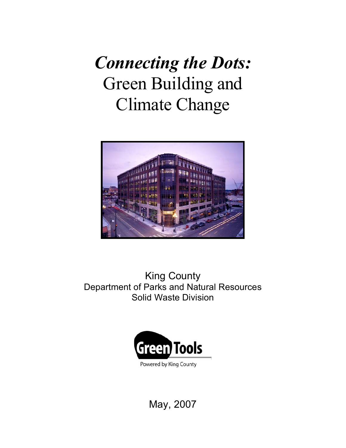# *Connecting the Dots:* Green Building and Climate Change



### King County Department of Parks and Natural Resources Solid Waste Division



May, 2007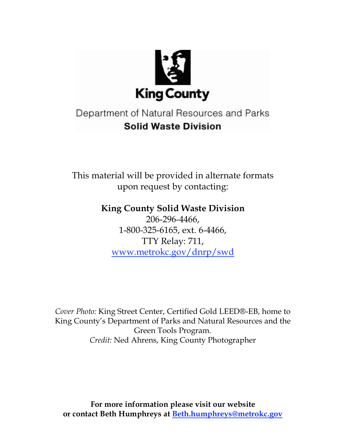

## Department of Natural Resources and Parks **Solid Waste Division**

This material will be provided in alternate formats upon request by contacting:

**King County Solid Waste Division**

206-296-4466, 1-800-325-6165, ext. 6-4466, TTY Relay: 711, www.metrokc.gov/dnrp/swd

*Cover Photo:* King Street Center, Certified Gold LEED®-EB, home to King County's Department of Parks and Natural Resources and the Green Tools Program. *Credit:* Ned Ahrens, King County Photographer

**For more information please visit our website or contact Beth Humphreys at Beth.humphreys@metrokc.gov**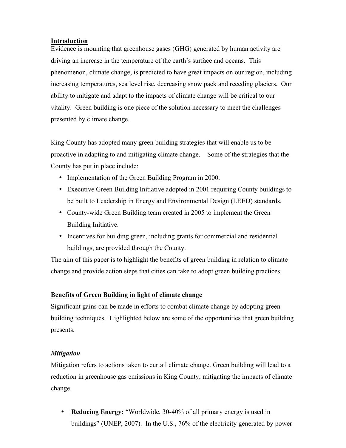#### **Introduction**

Evidence is mounting that greenhouse gases (GHG) generated by human activity are driving an increase in the temperature of the earth's surface and oceans. This phenomenon, climate change, is predicted to have great impacts on our region, including increasing temperatures, sea level rise, decreasing snow pack and receding glaciers. Our ability to mitigate and adapt to the impacts of climate change will be critical to our vitality. Green building is one piece of the solution necessary to meet the challenges presented by climate change.

King County has adopted many green building strategies that will enable us to be proactive in adapting to and mitigating climate change. Some of the strategies that the County has put in place include:

- Implementation of the Green Building Program in 2000.
- Executive Green Building Initiative adopted in 2001 requiring County buildings to be built to Leadership in Energy and Environmental Design (LEED) standards.
- County-wide Green Building team created in 2005 to implement the Green Building Initiative.
- Incentives for building green, including grants for commercial and residential buildings, are provided through the County.

The aim of this paper is to highlight the benefits of green building in relation to climate change and provide action steps that cities can take to adopt green building practices.

#### **Benefits of Green Building in light of climate change**

Significant gains can be made in efforts to combat climate change by adopting green building techniques. Highlighted below are some of the opportunities that green building presents.

#### *Mitigation*

Mitigation refers to actions taken to curtail climate change. Green building will lead to a reduction in greenhouse gas emissions in King County, mitigating the impacts of climate change.

• **Reducing Energy:** "Worldwide, 30-40% of all primary energy is used in buildings" (UNEP, 2007). In the U.S., 76% of the electricity generated by power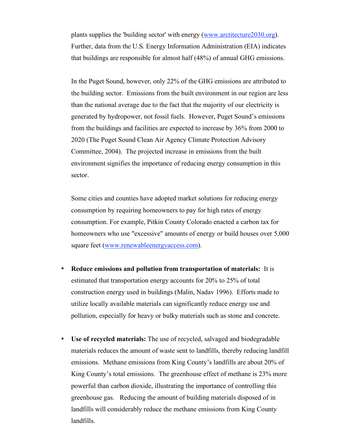plants supplies the 'building sector' with energy (www.arctitecture2030.org). Further, data from the U.S. Energy Information Administration (EIA) indicates that buildings are responsible for almost half (48%) of annual GHG emissions.

In the Puget Sound, however, only 22% of the GHG emissions are attributed to the building sector. Emissions from the built environment in our region are less than the national average due to the fact that the majority of our electricity is generated by hydropower, not fossil fuels. However, Puget Sound's emissions from the buildings and facilities are expected to increase by 36% from 2000 to 2020 (The Puget Sound Clean Air Agency Climate Protection Advisory Committee, 2004). The projected increase in emissions from the built environment signifies the importance of reducing energy consumption in this sector.

Some cities and counties have adopted market solutions for reducing energy consumption by requiring homeowners to pay for high rates of energy consumption. For example, Pitkin County Colorado enacted a carbon tax for homeowners who use "excessive" amounts of energy or build houses over 5,000 square feet (www.renewableenergyaccess.com).

- **Reduce emissions and pollution from transportation of materials:** It is estimated that transportation energy accounts for 20% to 25% of total construction energy used in buildings (Malin, Nadav 1996). Efforts made to utilize locally available materials can significantly reduce energy use and pollution, especially for heavy or bulky materials such as stone and concrete.
- **Use of recycled materials:** The use of recycled, salvaged and biodegradable materials reduces the amount of waste sent to landfills, thereby reducing landfill emissions. Methane emissions from King County's landfills are about 20% of King County's total emissions. The greenhouse effect of methane is 23% more powerful than carbon dioxide, illustrating the importance of controlling this greenhouse gas. Reducing the amount of building materials disposed of in landfills will considerably reduce the methane emissions from King County landfills.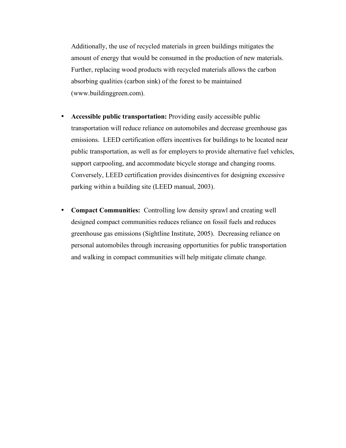Additionally, the use of recycled materials in green buildings mitigates the amount of energy that would be consumed in the production of new materials. Further, replacing wood products with recycled materials allows the carbon absorbing qualities (carbon sink) of the forest to be maintained (www.buildinggreen.com).

- **Accessible public transportation:** Providing easily accessible public transportation will reduce reliance on automobiles and decrease greenhouse gas emissions. LEED certification offers incentives for buildings to be located near public transportation, as well as for employers to provide alternative fuel vehicles, support carpooling, and accommodate bicycle storage and changing rooms. Conversely, LEED certification provides disincentives for designing excessive parking within a building site (LEED manual, 2003).
- **Compact Communities:** Controlling low density sprawl and creating well designed compact communities reduces reliance on fossil fuels and reduces greenhouse gas emissions (Sightline Institute, 2005). Decreasing reliance on personal automobiles through increasing opportunities for public transportation and walking in compact communities will help mitigate climate change.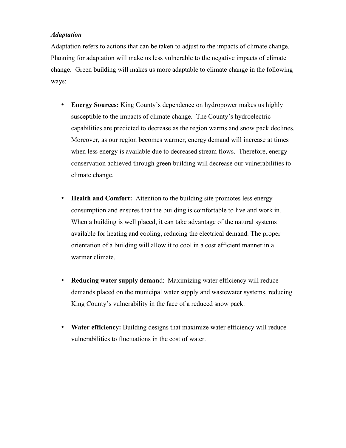#### *Adaptation*

Adaptation refers to actions that can be taken to adjust to the impacts of climate change. Planning for adaptation will make us less vulnerable to the negative impacts of climate change. Green building will makes us more adaptable to climate change in the following ways:

- **Energy Sources:** King County's dependence on hydropower makes us highly susceptible to the impacts of climate change. The County's hydroelectric capabilities are predicted to decrease as the region warms and snow pack declines. Moreover, as our region becomes warmer, energy demand will increase at times when less energy is available due to decreased stream flows. Therefore, energy conservation achieved through green building will decrease our vulnerabilities to climate change.
- **Health and Comfort:** Attention to the building site promotes less energy consumption and ensures that the building is comfortable to live and work in. When a building is well placed, it can take advantage of the natural systems available for heating and cooling, reducing the electrical demand. The proper orientation of a building will allow it to cool in a cost efficient manner in a warmer climate.
- **Reducing water supply deman**d: Maximizing water efficiency will reduce demands placed on the municipal water supply and wastewater systems, reducing King County's vulnerability in the face of a reduced snow pack.
- **Water efficiency:** Building designs that maximize water efficiency will reduce vulnerabilities to fluctuations in the cost of water.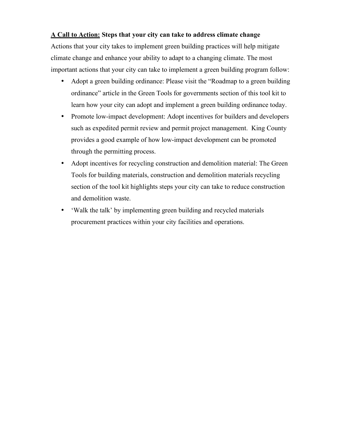#### **A Call to Action: Steps that your city can take to address climate change**

Actions that your city takes to implement green building practices will help mitigate climate change and enhance your ability to adapt to a changing climate. The most important actions that your city can take to implement a green building program follow:

- Adopt a green building ordinance: Please visit the "Roadmap to a green building" ordinance" article in the Green Tools for governments section of this tool kit to learn how your city can adopt and implement a green building ordinance today.
- Promote low-impact development: Adopt incentives for builders and developers such as expedited permit review and permit project management. King County provides a good example of how low-impact development can be promoted through the permitting process.
- Adopt incentives for recycling construction and demolition material: The Green Tools for building materials, construction and demolition materials recycling section of the tool kit highlights steps your city can take to reduce construction and demolition waste.
- 'Walk the talk' by implementing green building and recycled materials procurement practices within your city facilities and operations.